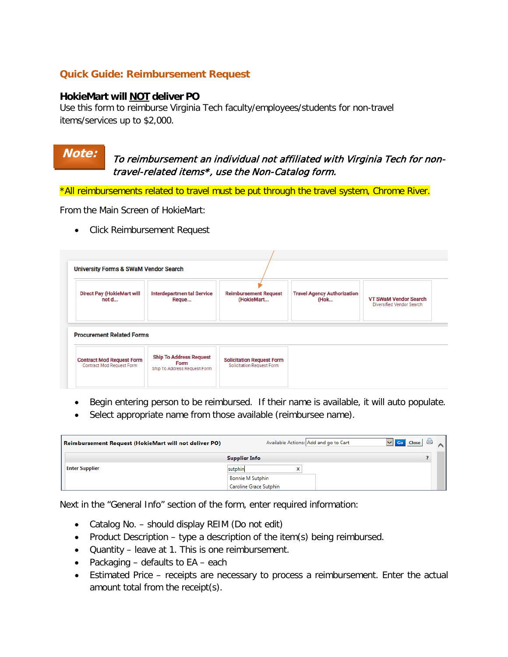## **Quick Guide: Reimbursement Request**

#### **HokieMart will NOT deliver PO**

Use this form to reimburse Virginia Tech faculty/employees/students for non-travel items/services up to \$2,000.

# Note:

## To reimbursement an individual not affiliated with Virginia Tech for nontravel-related items\*, use the Non-Catalog form.

\*All reimbursements related to travel must be put through the travel system, Chrome River.

From the Main Screen of HokieMart:

• Click Reimbursement Request

| <b>University Forms &amp; SWaM Vendor Search</b>              |                                                                               |                                                               |                                            |                                                           |  |  |
|---------------------------------------------------------------|-------------------------------------------------------------------------------|---------------------------------------------------------------|--------------------------------------------|-----------------------------------------------------------|--|--|
| <b>Direct Pay (HokieMart will</b><br>not d                    | <b>Interdepartmen tal Service</b><br>Reque                                    | <b>Reimbursement Request</b><br>(HokieMart                    | <b>Travel Agency Authorization</b><br>(Hok | <b>VT SWaM Vendor Search</b><br>Diversified Vendor Search |  |  |
| <b>Procurement Related Forms</b>                              |                                                                               |                                                               |                                            |                                                           |  |  |
| <b>Contract Mod Request Form</b><br>Contract Mod Request Form | <b>Ship To Address Request</b><br><b>Form</b><br>Ship To Address Request Form | <b>Solicitation Request Form</b><br>Solicitation Request Form |                                            |                                                           |  |  |

- Begin entering person to be reimbursed. If their name is available, it will auto populate.
- Select appropriate name from those available (reimbursee name).

| <b>Reimbursement Request (HokieMart will not deliver PO)</b> | Available Actions: Add and go to Cart<br><b>Close</b><br><b>Go</b> | œ |  |
|--------------------------------------------------------------|--------------------------------------------------------------------|---|--|
| <b>Supplier Info</b>                                         |                                                                    |   |  |
| <b>Enter Supplier</b>                                        | sutphin<br>ᄉ                                                       |   |  |
|                                                              | Bonnie M Sutphin                                                   |   |  |
|                                                              | Caroline Grace Sutphin                                             |   |  |

Next in the "General Info" section of the form, enter required information:

- Catalog No. should display REIM (Do not edit)
- Product Description type a description of the item(s) being reimbursed.
- Quantity leave at 1. This is one reimbursement.
- Packaging defaults to EA each
- Estimated Price receipts are necessary to process a reimbursement. Enter the actual amount total from the receipt(s).